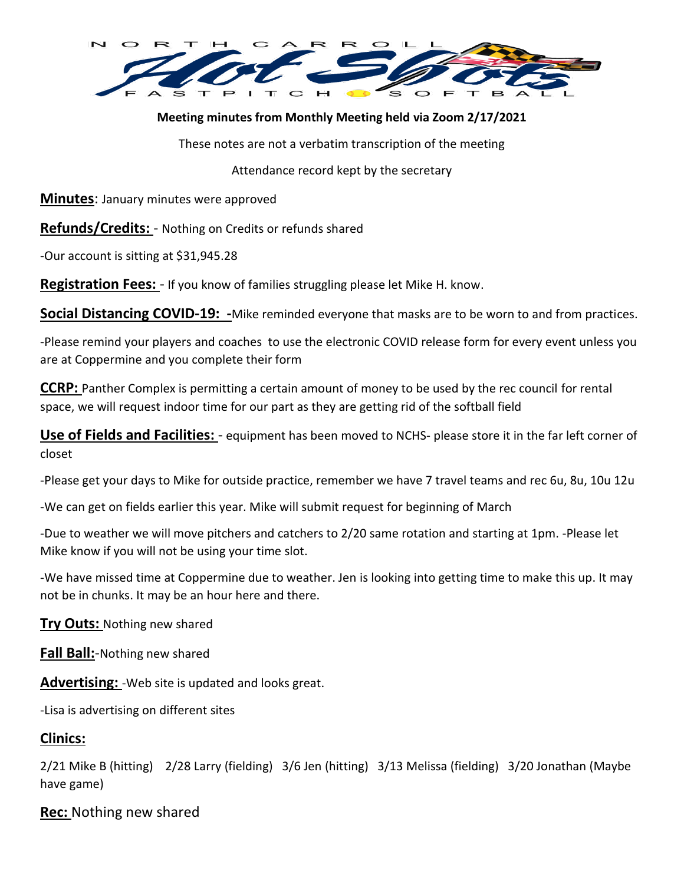

## **Meeting minutes from Monthly Meeting held via Zoom 2/17/2021**

These notes are not a verbatim transcription of the meeting

Attendance record kept by the secretary

**Minutes**: January minutes were approved

**Refunds/Credits:** - Nothing on Credits or refunds shared

-Our account is sitting at \$31,945.28

**Registration Fees:** - If you know of families struggling please let Mike H. know.

**Social Distancing COVID-19: -**Mike reminded everyone that masks are to be worn to and from practices.

-Please remind your players and coaches to use the electronic COVID release form for every event unless you are at Coppermine and you complete their form

**CCRP:** Panther Complex is permitting a certain amount of money to be used by the rec council for rental space, we will request indoor time for our part as they are getting rid of the softball field

**Use of Fields and Facilities:** - equipment has been moved to NCHS- please store it in the far left corner of closet

-Please get your days to Mike for outside practice, remember we have 7 travel teams and rec 6u, 8u, 10u 12u

-We can get on fields earlier this year. Mike will submit request for beginning of March

-Due to weather we will move pitchers and catchers to 2/20 same rotation and starting at 1pm. -Please let Mike know if you will not be using your time slot.

-We have missed time at Coppermine due to weather. Jen is looking into getting time to make this up. It may not be in chunks. It may be an hour here and there.

**Try Outs:** Nothing new shared

**Fall Ball:**-Nothing new shared

**Advertising:** -Web site is updated and looks great.

-Lisa is advertising on different sites

## **Clinics:**

2/21 Mike B (hitting) 2/28 Larry (fielding) 3/6 Jen (hitting) 3/13 Melissa (fielding) 3/20 Jonathan (Maybe have game)

**Rec:** Nothing new shared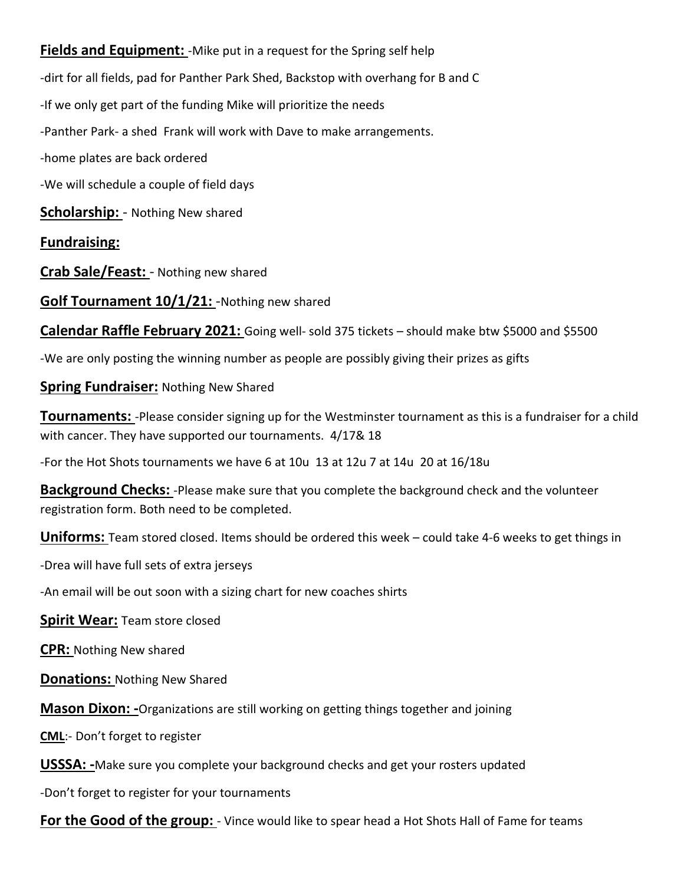**Fields and Equipment:** - Mike put in a request for the Spring self help -dirt for all fields, pad for Panther Park Shed, Backstop with overhang for B and C -If we only get part of the funding Mike will prioritize the needs -Panther Park- a shed Frank will work with Dave to make arrangements.

-home plates are back ordered

-We will schedule a couple of field days

**Scholarship:** - Nothing New shared

**Fundraising:**

**Crab Sale/Feast:** - Nothing new shared

**Golf Tournament 10/1/21:** -Nothing new shared

**Calendar Raffle February 2021:** Going well- sold 375 tickets – should make btw \$5000 and \$5500

-We are only posting the winning number as people are possibly giving their prizes as gifts

**Spring Fundraiser:** Nothing New Shared

**Tournaments:** -Please consider signing up for the Westminster tournament as this is a fundraiser for a child with cancer. They have supported our tournaments. 4/17& 18

-For the Hot Shots tournaments we have 6 at 10u 13 at 12u 7 at 14u 20 at 16/18u

**Background Checks:** -Please make sure that you complete the background check and the volunteer registration form. Both need to be completed.

**Uniforms:** Team stored closed. Items should be ordered this week – could take 4-6 weeks to get things in

-Drea will have full sets of extra jerseys

-An email will be out soon with a sizing chart for new coaches shirts

**Spirit Wear:** Team store closed

**CPR:** Nothing New shared

**Donations:** Nothing New Shared

**Mason Dixon: -**Organizations are still working on getting things together and joining

**CML**:- Don't forget to register

**USSSA: -**Make sure you complete your background checks and get your rosters updated

-Don't forget to register for your tournaments

**For the Good of the group:** - Vince would like to spear head a Hot Shots Hall of Fame for teams